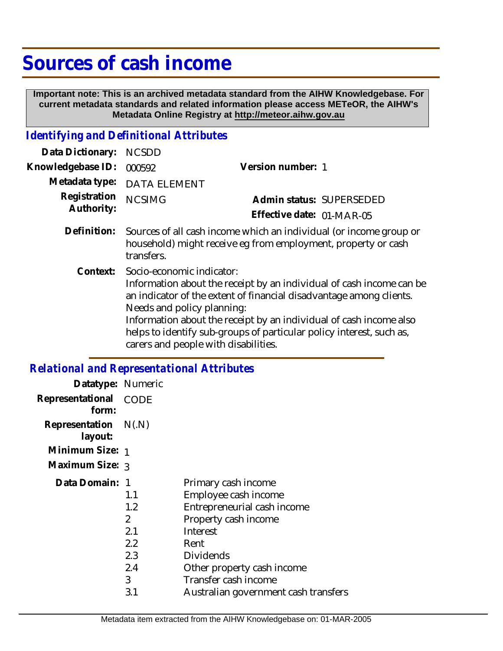# **Sources of cash income**

 **Important note: This is an archived metadata standard from the AIHW Knowledgebase. For current metadata standards and related information please access METeOR, the AIHW's Metadata Online Registry at http://meteor.aihw.gov.au**

### *Identifying and Definitional Attributes*

| Data Dictionary:           | <b>NCSDD</b>                                                                                    |                                                                                                                                                                                                                                                                                           |
|----------------------------|-------------------------------------------------------------------------------------------------|-------------------------------------------------------------------------------------------------------------------------------------------------------------------------------------------------------------------------------------------------------------------------------------------|
| Knowledgebase ID:          | 000592                                                                                          | Version number: 1                                                                                                                                                                                                                                                                         |
| Metadata type:             | <b>DATA ELEMENT</b>                                                                             |                                                                                                                                                                                                                                                                                           |
| Registration<br>Authority: | <b>NCSIMG</b>                                                                                   | Admin status: SUPERSEDED                                                                                                                                                                                                                                                                  |
|                            |                                                                                                 | Effective date: 01-MAR-05                                                                                                                                                                                                                                                                 |
| Definition:                | transfers.                                                                                      | Sources of all cash income which an individual (or income group or<br>household) might receive eg from employment, property or cash                                                                                                                                                       |
| Context:                   | Socio-economic indicator:<br>Needs and policy planning:<br>carers and people with disabilities. | Information about the receipt by an individual of cash income can be<br>an indicator of the extent of financial disadvantage among clients.<br>Information about the receipt by an individual of cash income also<br>helps to identify sub-groups of particular policy interest, such as, |

## *Relational and Representational Attributes*

| Datatype: Numeric         |                  |                                      |
|---------------------------|------------------|--------------------------------------|
| Representational<br>form: | <b>CODE</b>      |                                      |
| Representation<br>layout: | N(.N)            |                                      |
| Minimum Size: 1           |                  |                                      |
| Maximum Size: 3           |                  |                                      |
| Data Domain: 1            |                  | Primary cash income                  |
|                           | 1.1              | Employee cash income                 |
|                           | 1.2              | Entrepreneurial cash income          |
|                           | 2                | Property cash income                 |
|                           | 2.1              | Interest                             |
|                           | $2.2\phantom{0}$ | Rent                                 |
|                           | 2.3              | Dividends                            |
|                           | 2.4              | Other property cash income           |
|                           | 3                | Transfer cash income                 |
|                           | 3.1              | Australian government cash transfers |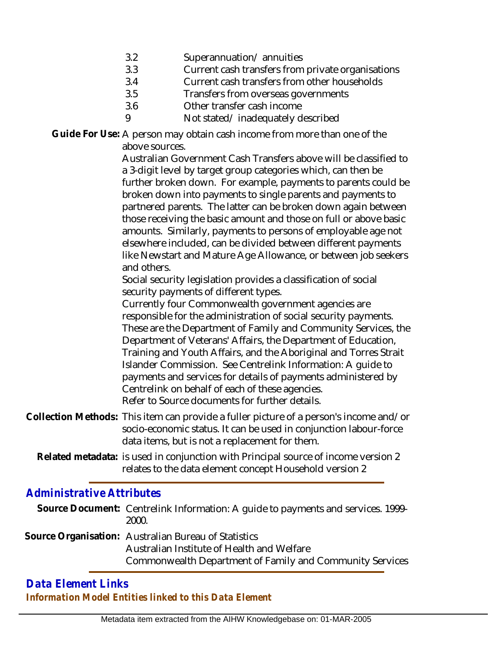- 3.2 Superannuation/ annuities
- 3.3 Current cash transfers from private organisations
- 3.4 Current cash transfers from other households
- 3.5 Transfers from overseas governments
- 3.6 Other transfer cash income
- 9 Not stated/ inadequately described

Guide For Use: A person may obtain cash income from more than one of the above sources.

> Australian Government Cash Transfers above will be classified to a 3-digit level by target group categories which, can then be further broken down. For example, payments to parents could be broken down into payments to single parents and payments to partnered parents. The latter can be broken down again between those receiving the basic amount and those on full or above basic amounts. Similarly, payments to persons of employable age not elsewhere included, can be divided between different payments like Newstart and Mature Age Allowance, or between job seekers and others.

Social security legislation provides a classification of social security payments of different types.

Currently four Commonwealth government agencies are responsible for the administration of social security payments. These are the Department of Family and Community Services, the Department of Veterans' Affairs, the Department of Education, Training and Youth Affairs, and the Aboriginal and Torres Strait Islander Commission. See Centrelink Information: A guide to payments and services for details of payments administered by Centrelink on behalf of each of these agencies. Refer to Source documents for further details.

- Collection Methods: This item can provide a fuller picture of a person's income and/or socio-economic status. It can be used in conjunction labour-force data items, but is not a replacement for them.
	- Related metadata: is used in conjunction with Principal source of income version 2 relates to the data element concept Household version 2

## *Administrative Attributes*

| Source Document: Centrelink Information: A guide to payments and services. 1999-<br>2000.                                                                      |
|----------------------------------------------------------------------------------------------------------------------------------------------------------------|
| Source Organisation: Australian Bureau of Statistics<br>Australian Institute of Health and Welfare<br>Commonwealth Department of Family and Community Services |

#### *Data Element Links Information Model Entities linked to this Data Element*